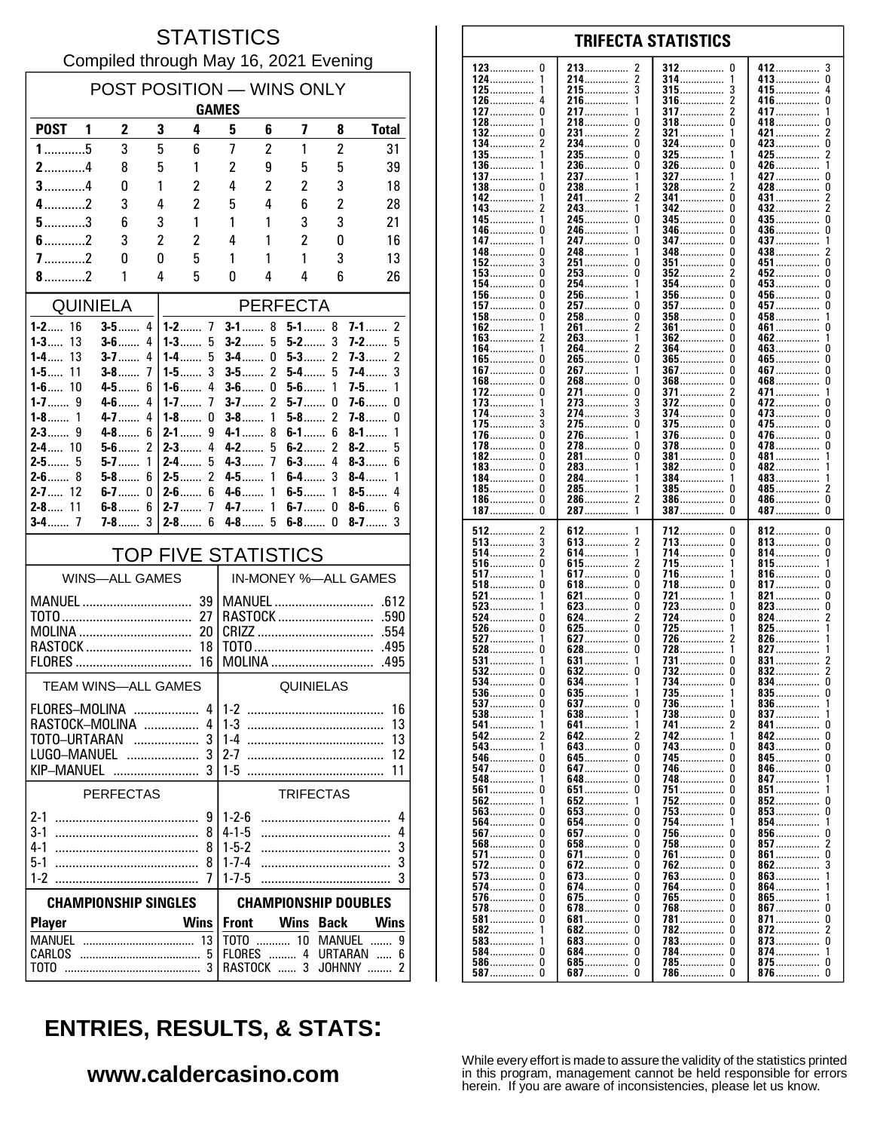### **STATISTICS** Compiled through May 16, 2021 Evening

| POST POSITION - WINS ONLY      |                       |                    |                               |                                    |                             |                |                  |                   |                          |  |
|--------------------------------|-----------------------|--------------------|-------------------------------|------------------------------------|-----------------------------|----------------|------------------|-------------------|--------------------------|--|
|                                |                       |                    |                               | <b>GAMES</b>                       |                             |                |                  |                   |                          |  |
| POST <sub>1</sub>              |                       | $\mathbf{2}$       | 3                             | 4                                  | 5                           | 6              | 7                | 8                 | <b>Total</b>             |  |
| $1$ 5                          |                       | 3                  | 5                             | 6                                  | 7                           | 2              | 1                | 2                 | 31                       |  |
| $2$ 4                          |                       | 8                  | 5                             | 1                                  | 2                           | 9              | 5                | 5                 | 39                       |  |
| $3$ 4                          |                       | 0                  | 1                             | $\overline{c}$                     | 4                           | $\overline{c}$ | $\overline{c}$   | 3                 | 18                       |  |
| $4$ 2                          |                       | 3                  | 4                             | 2                                  | 5                           | 4              | 6                | $\overline{c}$    | 28                       |  |
| $5$ 3<br>$6$ 2                 |                       | 6                  | 3                             | 1                                  | 1                           | 1              | 3                | 3                 | 21                       |  |
| $7$ 2                          |                       | 3<br>0             | $\overline{2}$<br>0           | 2<br>5                             | 4<br>1                      | 1<br>1         | 2<br>1           | 0<br>3            | 16<br>13                 |  |
| 8.111                          |                       | 1                  | 4                             | 5                                  | 0                           | 4              | 4                | 6                 | 26                       |  |
|                                |                       |                    |                               |                                    |                             |                |                  |                   |                          |  |
|                                | QUINIELA              |                    |                               |                                    | <b>PERFECTA</b>             |                |                  |                   |                          |  |
| <b>1-2</b> 16<br>$1 - 3$<br>13 |                       | $3-5$<br>$3-6$     | 4<br>4                        | 1-3……<br>5                         | $3-1$<br>$3-2$              | 8<br>5         | $5-1$<br>$5-2$   | 8<br>3            | $7-1$<br>2<br>5<br>$7-2$ |  |
| $1 - 4$<br>13                  |                       | $3 - 7$            | 4                             | $1 - 4$<br>5                       | $3-4$                       | 0              | $5-3$            | 2                 | 2<br>7-3……               |  |
| 1-5……<br>11                    |                       | $3-8$              | 7                             | 3<br>1-5 $\dots$                   | $3-5$                       | 2              | 5-4              | 5                 | 3<br>7-4……               |  |
| $1 - 6$ 10                     |                       | $4 - 5$            | 6                             | $1 - 6$<br>4                       | $3-6$                       | 0              | $5-6$            | 1                 | $7-5$<br>1               |  |
| $1 - 7$<br>9<br>$1-8$<br>1     |                       | $4 - 6$<br>$4 - 7$ | 4<br>4                        | $1 - 7$<br>7<br>1-8……<br>0         | $3-7$<br>$3-8$              | 2<br>1         | $5-7$<br>$5-8$   | 0<br>2            | $7-6$<br>0<br>7-8……<br>0 |  |
| $2 - 3$<br>9                   |                       | $4-8$              | 6                             | $2-1$<br>9                         | $4-1$                       | 8              | $6-1$            | 6                 | $8-1$<br>1               |  |
| $2 - 4$ 10                     |                       | $5-6$              | 2                             | $2 - 3$<br>4                       | $4-2$                       | 5              | $6-2$            | 2                 | 5<br>$8-2$               |  |
| $2 - 5$ 5                      |                       | $5-7$              | 1                             | $2 - 4$<br>5                       | $4 - 3$                     | 7              | $6-3$            | 4                 | $8-3$<br>6               |  |
| $2 - 6$ 8<br>$2 - 7$ 12        |                       | 5-8……<br>$6-7$     | 6                             | 2<br>$2-5$<br>6                    | 4-5                         | 1<br>1         | $6-4$            | 3<br>1            | 8-4……<br>1<br>4          |  |
| $2 - 8$ 11                     |                       | $6-8$              | 0<br>6                        | 2-6……<br>$\overline{1}$<br>$2 - 7$ | 4-6   .<br>$4 - 7$          | 1              | $6-5$<br>$6-7$   | 0                 | $8-5$<br>$8-6$<br>6      |  |
|                                |                       | 7-8                | 3                             | $2 - 8$<br>6                       | $4-8$                       | 5              | $6-8$            | 0                 | $8-7$<br>3               |  |
|                                |                       |                    |                               | TOP FIVE STATISTICS                |                             |                |                  |                   |                          |  |
|                                | <b>WINS-ALL GAMES</b> |                    |                               |                                    | IN-MONEY %-ALL GAMES        |                |                  |                   |                          |  |
|                                |                       |                    |                               |                                    |                             |                |                  | <b>MANUEL</b>     | .612                     |  |
|                                |                       |                    |                               | 27                                 |                             |                |                  | RASTOCK           | .590                     |  |
| MOLINA<br>20                   |                       |                    |                               | .554                               |                             |                |                  |                   |                          |  |
| RASTOCK                        |                       |                    |                               | 18                                 |                             |                |                  | MOLINA            | .495                     |  |
| FLORES                         |                       |                    |                               | 16                                 |                             |                |                  |                   | .495                     |  |
| TEAM WINS-ALL GAMES            |                       |                    |                               |                                    |                             |                | QUINIELAS        |                   |                          |  |
| FLORES-MOLINA                  |                       |                    |                               |                                    | $4 1-2$                     |                |                  |                   | 16                       |  |
| RASTOCK-MOLINA<br>TOTO-URTARAN |                       |                    | $\ldots \ldots \ldots \ldots$ | 4<br>3                             | 13<br>13                    |                |                  |                   |                          |  |
| LUGO-MANUEL  3                 |                       |                    |                               |                                    | $2 - 7$                     |                |                  |                   | 12                       |  |
| KIP-MANUEL                     |                       |                    |                               | 3                                  | $1-5$                       |                |                  |                   | 11                       |  |
|                                | <b>PERFECTAS</b>      |                    |                               |                                    |                             |                | <b>TRIFECTAS</b> |                   |                          |  |
|                                |                       |                    |                               | 9                                  | $1 - 2 - 6$                 |                |                  |                   | 4                        |  |
|                                |                       |                    |                               | 8                                  | $4 - 1 - 5$                 |                |                  |                   | 4                        |  |
| 4-1<br>$5-1$                   |                       |                    |                               | 8                                  | $1-5-2$<br>$1 - 7 - 4$      |                |                  |                   | 3<br>3                   |  |
| $1-2$                          |                       |                    |                               | 8<br>7                             | $1 - 7 - 5$                 |                |                  |                   | 3                        |  |
| <b>CHAMPIONSHIP SINGLES</b>    |                       |                    |                               |                                    | <b>CHAMPIONSHIP DOUBLES</b> |                |                  |                   |                          |  |
| <b>Wins</b><br><b>Player</b>   |                       |                    |                               | <b>Front</b>                       |                             | Wins           | <b>Back</b>      | <b>Wins</b>       |                          |  |
|                                |                       |                    |                               |                                    |                             |                |                  | TOTO  10 MANUEL   | 9                        |  |
| CARLOS                         |                       |                    |                               | -5                                 |                             |                |                  | FLORES  4 URTARAN | 6                        |  |
| тото                           |                       |                    |                               |                                    |                             | RASTOCK  3     |                  |                   | 2<br>JOHNNY              |  |

#### 123 213 412 3  $\Omega$ 2 312 <sup>0</sup> 124 214................  $\overline{2}$ 314 413...............  $\overline{0}$ . . . . . . . . . . . . . . 1 . . . . . . . . .  $215$ ................ 3 125 415................ 4 . . . . . . . . . . . . . . . 126 216. 316  $\overline{\mathbf{c}}$ 416  $\mathbf{0}$  $\Delta$ 1 . . . . . . . . . . . . . . . .............. ............... ............... 127  $\Omega$ 217 317  $\mathcal{P}$ 417  $\overline{1}$ 1 . . . . . . . . . . . . . . . . . . . . . . . . . . . . . . . . . . . . . . . . . . 128 218  $\Omega$ 318  $\Omega$ 418  $\Omega$  $\overline{2}$ 132  $\Omega$ 231................  $\overline{\phantom{a}}$ 321 .................  $421$ 1 134.  $\Omega$  $\Omega$ ō  $\overline{\phantom{a}}$  $234$ ................  $324$  ................  $423...$ 135. 235.................  $\Omega$ 325  $425$ 236  $\pmb{0}$  $326$ ................. 426................ 136................  $\Omega$ . . . . . . . . . . . . . . . . 137 237 327 427  $\Omega$ 1 . . . . . . . . . . . . . . . . . . . . . . . . . . . . . . . . . . . . . . . . . . . . 138  $\Omega$ 238 328 428  $\Omega$ . . . . . . . . . . . . . . . . . . . . . . . . . .  $\frac{6}{2}$ 241................ 341................ n 142  $\overline{\phantom{a}}$ 431 — 243................  $342$  $\overline{2}$  $\mathbf{1}$  $\Omega$ 345.................  $\overline{0}$ 245.  $\mathbf 0$  $\mathbf{0}$  $435...$ 145. -1 346 0 436................ 146 246 . . . . . . . . . . . . . . . . . . . . . . . . . . . . . . . . . . . . . . . . . . . . 147 247  $\Omega$ 347  $\Omega$ 437 . . . . . . . . . . . . . . . . . . . . . . . . . . . . . . . . . . . . . . . . . . . 248................  $\begin{minipage}{.4\linewidth} \textbf{348} \end{minipage}$ 148 438................  $\overline{2}$ 0 <sup>0</sup> .............. 152 3 251 0 351 <sup>0</sup> 451 0 . . . . . . . . . . . . . . . . . . . . . . . . . . . . . . . . . . . . . . . . . . . . . . . . . . . . . . . . . 153  $\Omega$ 253  $\Omega$ 352  $\mathcal{P}$ 452  $\Omega$ ŏ 254................ 354................ 154  $\Omega$  $\Omega$ 453................  $\mathbf{1}$  $156$ ................  $\mathbf 0$  $\mathbf 0$  $256$  $356$  $\Omega$  $456$  $157$ ................  $\Omega$ 257.................  $\Omega$  $357$  .................  $457$  $\mathbf{0}$ 458................  $258$ ................  $\pmb{0}$ 158 0 358  $\Omega$ . . . . . . . . . . . . . . . . . . . . . . . . . . . . . . . . 162 261  $\overline{\phantom{a}}$ 361  $\Omega$ 461  $\mathbf{0}$ . . . . . . . . . . . . . . . ............... . . . . . . . . . . . . . . . . . . . . . . . . . . . . . . . . 163  $\overline{2}$ 263  $\mathbf{1}$ 362  $\Omega$ 462  $\overline{1}$ . . . . . . . . . . . . . . . . . . . . . . . . . . . . . . . . . . . . . . . . . . .  $\dot{0}$ 264................  $364$  ................ 164  $\overline{\phantom{a}}$  $\Omega$  $463...$  $\mathbf{1}$ 265................. 165................ ò ō 365................. ñ  $465$ ñ  $\mathbf 0$  $\overline{0}$  $\mathbf 0$  $267$ ................  $367$  ................  $467$ ............... 167. . . . . . . . . . . . . . . Ō  $\ddot{\mathbf{0}}$ Ō Ō 168 268 368 468 . . . . . . . . . . . . . . . . . . . . . . . . . . . . . . . . . . . . . . . . . . . . . . . . . . . . . . . . . . . . . 172.  $\pmb{0}$ 271................  $\pmb{0}$ 371................  $\overline{2}$ 471................  $\mathbf{1}$ . . . . . . . . . . . . . . 273 372 ŋ  $\mathbf{0}$ 173 472 . . . . . . . . . . . . . . . .............. . . . . . . . . . . . . . . . . . . . . . . . . . . . . . . . 174 3 274  $\overline{3}$ 374  $\Omega$ 473................  $\pmb{0}$ . . . . . . . . . . . . . . . . . . . . . . . . . . . . . . . . . . . . . . . . . . . . . .  $\Omega$ 175 3 275 375  $\Omega$ 475.  $\Omega$ . . . . . . . . . . . . . . . . . . . . . . . . . . . . . . . . . . . . . . . . . . . . . . . . . . . . . . . . . . .  $\Omega$ .............. 376. 476................  $\Omega$ 176. 276.  $\mathbf{1}$  $\Omega$  $\dot{0}$ ŏ  $\Omega$ 278................  $\Omega$ 478  $178$ ................  $378$ ................ 182................  $\Omega$ 281.................  $\Omega$ 381  $\theta$  $481$ ................ . . . . . . . . . . . . . . . .  $183$ ................. 382................ 0 283 0  $482$ ................ . . . . . . . . . . . . . . . 384................ 184  $\Omega$ 284 483 . . . . . . . . . . . . . . . . ............... . . . . . . . . . . . . . . . .  $485$ ................ 185  $\Omega$ 285 385  $\Omega$  $\overline{\phantom{a}}$ . . . . . . . . . . . . . . . . . . . . . . . . . . . . . . . . . . . . . . . . . . . . . 186.  $\Omega$ 286.  $\overline{\phantom{a}}$  $386$ ................  $\Omega$ 486................  $\Omega$ . . . . . . . . . . . . . . . ..............  $\tilde{0}$  $\tilde{0}$  $\Omega$ 187................ 287 — 287  $\overline{1}$ 387................ 512  $\overline{\mathbf{c}}$ 612 712  $\mathbf{0}$ 812.......... 0 . . . . . . . . . . . . . . . . . . . . . . . . . . . . . . . . . . . . . . . . . . 613.  $513$ ................  $\mathbf{3}$  $\Omega$  $\pmb{0}$ 713 813................ . . . . . . . . . . . . . . . . 514 2 614 1 714 0 814 0 . . . . . . . . . . . . . . . . . . . . . . . . . . . . . . . . . . . . . . . . . . . . . . . . . . . . . . . . . . . . 516 0 615 2 715.  $\overline{1}$ 815  $\mathbf{1}$ . . . . . . . . . . . . . . ............ . . . . . . . . . . . . . .  $\overline{0}$  $\ddot{\mathbf{0}}$ 517................ 617.................  $716$ ................  $816$ ...... -1 -1  $518$ ................  $\mathbf 0$ 817.................  $\mathbf{0}$  $\Omega$ 618................  $718$ ................  $\Omega$  $\mathbf{521}$  ..................  $\pmb{0}$ 721 821  $\pmb{0}$ 621. -1 . . . . . . . . . . . . . . . 523 623  $\pmb{0}$ 723 823  $\pmb{0}$  $\Omega$ . . . . . . . . . . . . . . . .............. . . . . . . . . . . . . . . . . . . . . . . . . . . . . . . . . 524  $\Omega$ 624 2 724  $\Omega$ 824  $\overline{\phantom{a}}$ . . . . . . . . . . . . . . . . . . . . . . . . . . . . . . . . . . . . . . . . . . . . . 725<br>726................  $\Omega$ 526  $\Omega$ 625 825 1 . . . . . . . . . . . . . . . . . . . . . . . . . . . . . . 627................ 527  $\mathbf{1}$  $\Omega$ 826. 528 Ō  $628$ Ō  $728$  $827...$ 531................ 631................ 731................ 831 . . . . . . . . . . . . . . . . 732............... 632................  $\ddot{\mathbf{0}}$  $\overline{2}$  $\Omega$  $832$ ................  $\overline{0}$  $534$ ................  $\mathbf{0}$ 634................ 734................  $\mathbf 0$  $834$ ........  $\mathbf{1}$ 635  $\pmb{0}$  $536$ ................ 0 735 835 .............. . . . . . . . . . . . . . . . ...............  $\overline{0}$ 537  $\Omega$ 637 736 836  $\overline{1}$  $\mathbf{1}$  $837...$ 538 -1 638 -1 738  $\Omega$ . . . . . . . . . . . . . . . . . . . . . . . . . . . . . . . . . . . . . . . 641............... 741................ 541. 2  $841$ ...... 0 542............... 642............... 742................ 842...............  $\overline{2}$  $\Omega$  $\overline{\phantom{a}}$ 543.  $\pmb{0}$ 743  $\Omega$  $\pmb{0}$ 643................ 843 . . . . . . . . . . . . . . . 645............... 546................  $\mathbf 0$ 745.  $845$ ................  $\mathbf 0$ 0  $\Omega$ . . . . . . . . . . . . . . . . 846................ 547  $\pmb{0}$ 647  $\Omega$ 746  $\Omega$  $\mathbf{0}$ . . . . . . . . . . . . . . . . . . . . . . . . . . . . . . . . . . . . . . . . . . . . . . 548 648  $\Omega$ 748  $\Omega$ 847  $\mathbf{1}$ . . . . . . . . . . . . . . . . . . . . . . . . . . . . . . . . . . . . . . . . . . . . . .  $651$ ................ 561  $\Omega$  $\Omega$  $751.$  $\Omega$  $851...$  $\dot{0}$  $\Omega$ 852 562................  $\mathbf{1}$ 652................ 1  $752$ 653................ 753................. 563................ ó . Ō 853................ 564 Ō 654 Ō 754  $854$ . . . . . . . . . . . . . . . . . . . . . . . . . . . . . . 856................  $567$ ................  $\Omega$ 657................  $\Omega$ 756  $\Omega$  $\Omega$ . . . . . . . . . . . . . . . . 857................ 568  $\mathbf{0}$ 658  $\Omega$ 758  $\Omega$  $\mathfrak{p}$ . . . . . . . . . . . . . . . . . . . . . . . . . . . . . . . . . . . . . . . . . . .  $861$ .......  $571$ ................  $\mathbf{0}$ 671.  $\mathbf{0}$ 761 <sup>0</sup>  $\mathbf{0}$ .............. 572 0 672 0 762  $\Omega$ 862 3 . . . . . . . . . . . . . . . . . . . . . . . . . . . . . . . . . . . . . . . . . 573  $\Omega$ 673.  $\Omega$ 763.  $\Omega$ 863  $574$ ............... 0 674................  $\mathbf 0$ 764................ <sup>0</sup>  $864$ ......  $675$ ................  $\pmb{0}$  $765$ ................  $\Omega$ 865................. 578.  $\Omega$ 678  $\Omega$ 768  $\theta$  $867$  $\mathbf 0$ . . . . . . . . . . . . . . . . . . . . . . . . . . . . . . . . . . . . . . . . . . . . .  $581$ ................  $\pmb{0}$ 681................  $\pmb{0}$ 781  $\Omega$ 871  $\pmb{0}$ . . . . . . . . . . . . . . . . ................ 582 682  $\Omega$ 782  $\Omega$ 872  $\mathcal{P}$  $\mathbf{1}$ . . . . . . . . . . . . . . . . . . . . . . . . . . . . . . . . . . . . . . . . . . . . . . . . . . . . . . . . . 583 **F.83**  $\Omega$ 783  $\Omega$ 873  $\Omega$ . . . . . . . . . . . . . . . . . . . . . . . . . . . . . . . . . . . . . . . . . . . . . . . . . . . . 684...............  $\Omega$ 784................  $\Omega$ 874................ 1

**TRIFECTA STATISTICS** 

# **ENTRIES, RESULTS, & STATS:**

### www.caldercasino.com

While every effort is made to assure the validity of the statistics printed in this program, management cannot be held responsible for errors herein. If you are aware of inconsistencies, please let us know.

785................

786

 $\Omega$ 

 $\Omega$ 

875.................

876................

 $\mathbf{0}$ 

 $\Omega$ 

685................

687.................

0

 $\Omega$ 

586...............

587.

 $\mathbf 0$ 

 $\Omega$